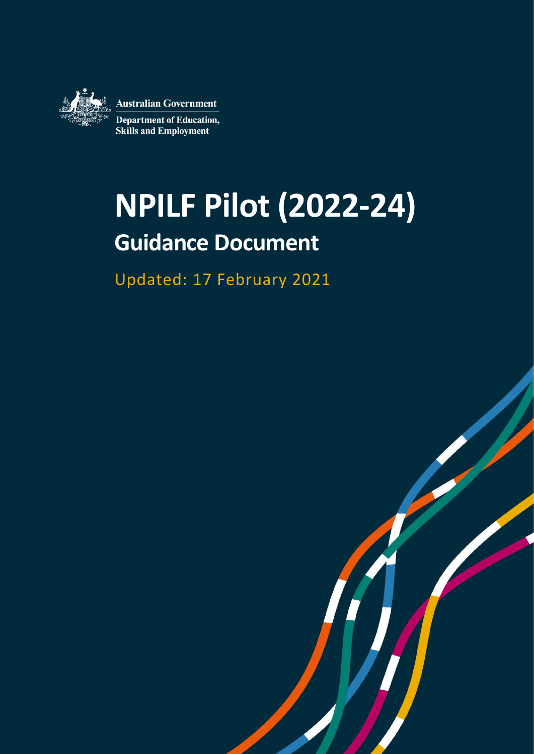

# **NPILF Pilot (2022-24) Guidance Document**

Updated: 17 February 2021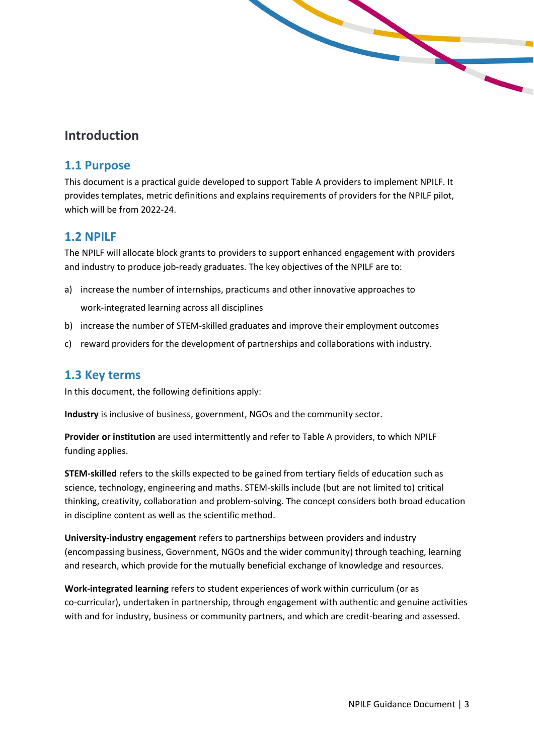

# **Introduction**

### **1.1 Purpose**

This document is a practical guide developed to support Table A providers to implement NPILF. It provides templates, metric definitions and explains requirements of providers for the NPILF pilot, which will be from 2022-24.

## **1.2 NPILF**

The NPILF will allocate block grants to providers to support enhanced engagement with providers and industry to produce job-ready graduates. The key objectives of the NPILF are to:

- a) increase the number of internships, practicums and other innovative approaches to work-integrated learning across all disciplines
- b) increase the number of STEM-skilled graduates and improve their employment outcomes
- c) reward providers for the development of partnerships and collaborations with industry.

#### **1.3 Key terms**

In this document, the following definitions apply:

**Industry** is inclusive of business, government, NGOs and the community sector.

**Provider or institution** are used intermittently and refer to Table A providers, to which NPILF funding applies.

**STEM-skilled** refers to the skills expected to be gained from tertiary fields of education such as science, technology, engineering and maths. STEM-skills include (but are not limited to) critical thinking, creativity, collaboration and problem-solving. The concept considers both broad education in discipline content as well as the scientific method.

**University-industry engagement** refers to partnerships between providers and industry (encompassing business, Government, NGOs and the wider community) through teaching, learning and research, which provide for the mutually beneficial exchange of knowledge and resources.

**Work-integrated learning** refers to student experiences of work within curriculum (or as co-curricular), undertaken in partnership, through engagement with authentic and genuine activities with and for industry, business or community partners, and which are credit-bearing and assessed.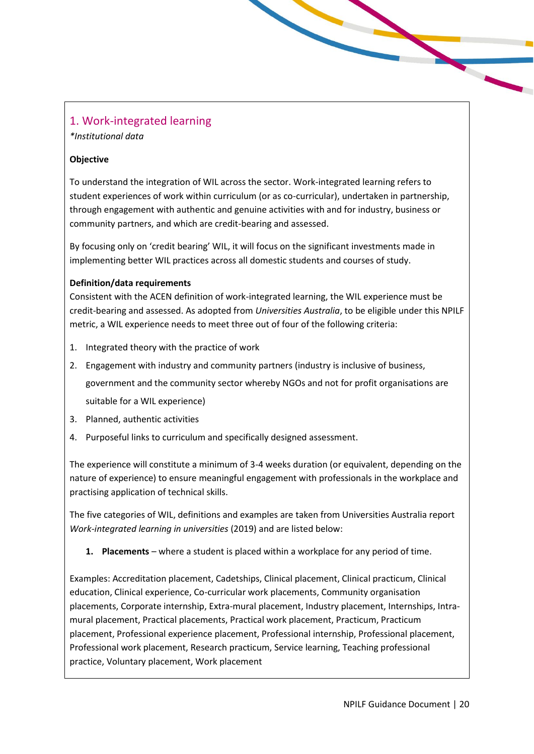# 1. Work-integrated learning

*\*Institutional data* 

#### **Objective**

To understand the integration of WIL across the sector. Work-integrated learning refers to student experiences of work within curriculum (or as co-curricular), undertaken in partnership, through engagement with authentic and genuine activities with and for industry, business or community partners, and which are credit-bearing and assessed.

By focusing only on 'credit bearing' WIL, it will focus on the significant investments made in implementing better WIL practices across all domestic students and courses of study.

#### **Definition/data requirements**

Consistent with the ACEN definition of work-integrated learning, the WIL experience must be credit-bearing and assessed. As adopted from *Universities Australia*, to be eligible under this NPILF metric, a WIL experience needs to meet three out of four of the following criteria:

- 1. Integrated theory with the practice of work
- 2. Engagement with industry and community partners (industry is inclusive of business, government and the community sector whereby NGOs and not for profit organisations are suitable for a WIL experience)
- 3. Planned, authentic activities
- 4. Purposeful links to curriculum and specifically designed assessment.

The experience will constitute a minimum of 3-4 weeks duration (or equivalent, depending on the nature of experience) to ensure meaningful engagement with professionals in the workplace and practising application of technical skills.

The five categories of WIL, definitions and examples are taken from Universities Australia report *Work-integrated learning in universities* (2019) and are listed below:

**1. Placements** – where a student is placed within a workplace for any period of time.

Examples: Accreditation placement, Cadetships, Clinical placement, Clinical practicum, Clinical education, Clinical experience, Co-curricular work placements, Community organisation placements, Corporate internship, Extra-mural placement, Industry placement, Internships, Intramural placement, Practical placements, Practical work placement, Practicum, Practicum placement, Professional experience placement, Professional internship, Professional placement, Professional work placement, Research practicum, Service learning, Teaching professional practice, Voluntary placement, Work placement